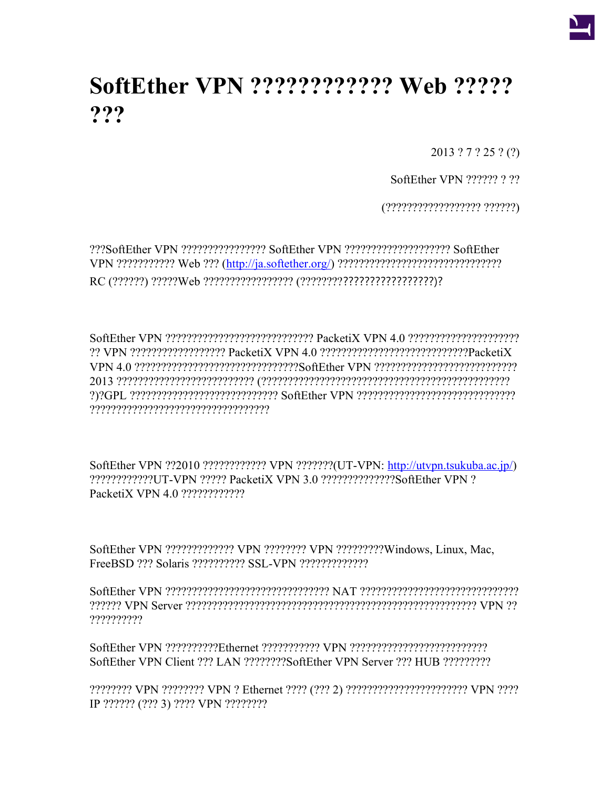

## <span id="page-0-0"></span>**SoftEther VPN ???????????? Web ????? ???**

2013 ? 7 ? 25 ? (?)

SoftEther VPN ?????? ? ??

(?????????????????? ??????)

???SoftEther VPN ???????????????? SoftEther VPN ???????????????????? SoftEther VPN ??????????? Web ??? [\(http://ja.softether.org/\)](#page-0-0) ??????????????????????????????? RC (??????) ?????Web ????????????????? (?????????????????????????)?

SoftEther VPN ???????????????????????????? PacketiX VPN 4.0 ????????????????????? ?? VPN ?????????????????? PacketiX VPN 4.0 ????????????????????????????PacketiX VPN 4.0 ???????????????????????????????SoftEther VPN ??????????????????????????? 2013 ?????????????????????????? (??????????????????????????????????????????????? ?)?GPL ???????????????????????????? SoftEther VPN ?????????????????????????????? ??????????????????????????????????

SoftEther VPN ??2010 ???????????? VPN ???????(UT-VPN: [http://utvpn.tsukuba.ac.jp/\)](http://utvpn.tsukuba.ac.jp/) ????????????UT-VPN ????? PacketiX VPN 3.0 ??????????????SoftEther VPN ? PacketiX VPN 4.0 ????????????

SoftEther VPN ????????????? VPN ???????? VPN ?????????Windows, Linux, Mac, FreeBSD ??? Solaris ?????????? SSL-VPN ?????????????

SoftEther VPN ??????????????????????????????? NAT ?????????????????????????????? ?????? VPN Server ??????????????????????????????????????????????????????? VPN ?? ??????????

SoftEther VPN ??????????Ethernet ??????????? VPN ?????????????????????????? SoftEther VPN Client ??? LAN ????????SoftEther VPN Server ??? HUB ?????????

???????? VPN ???????? VPN ? Ethernet ???? (??? 2) ??????????????????????? VPN ???? IP ?????? (??? 3) ???? VPN ????????